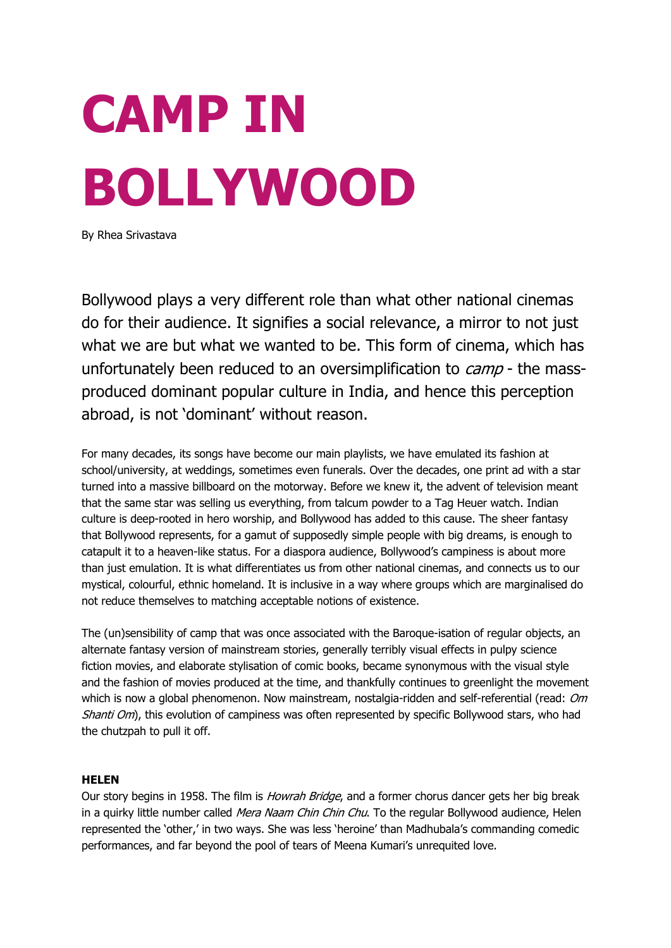# **CAMP IN BOLLYWOOD**

By Rhea Srivastava

Bollywood plays a very different role than what other national cinemas do for their audience. It signifies a social relevance, a mirror to not just what we are but what we wanted to be. This form of cinema, which has unfortunately been reduced to an oversimplification to *camp* - the massproduced dominant popular culture in India, and hence this perception abroad, is not 'dominant' without reason.

For many decades, its songs have become our main playlists, we have emulated its fashion at school/university, at weddings, sometimes even funerals. Over the decades, one print ad with a star turned into a massive billboard on the motorway. Before we knew it, the advent of television meant that the same star was selling us everything, from talcum powder to a Tag Heuer watch. Indian culture is deep-rooted in hero worship, and Bollywood has added to this cause. The sheer fantasy that Bollywood represents, for a gamut of supposedly simple people with big dreams, is enough to catapult it to a heaven-like status. For a diaspora audience, Bollywood's campiness is about more than just emulation. It is what differentiates us from other national cinemas, and connects us to our mystical, colourful, ethnic homeland. It is inclusive in a way where groups which are marginalised do not reduce themselves to matching acceptable notions of existence.

The (un)sensibility of camp that was once associated with the Baroque-isation of regular objects, an alternate fantasy version of mainstream stories, generally terribly visual effects in pulpy science fiction movies, and elaborate stylisation of comic books, became synonymous with the visual style and the fashion of movies produced at the time, and thankfully continues to greenlight the movement which is now a global phenomenon. Now mainstream, nostalgia-ridden and self-referential (read: Om Shanti Om), this evolution of campiness was often represented by specific Bollywood stars, who had the chutzpah to pull it off.

# **HELEN**

Our story begins in 1958. The film is *Howrah Bridge*, and a former chorus dancer gets her big break in a quirky little number called *Mera Naam Chin Chin Chu*. To the regular Bollywood audience, Helen represented the 'other,' in two ways. She was less 'heroine' than Madhubala's commanding comedic performances, and far beyond the pool of tears of Meena Kumari's unrequited love.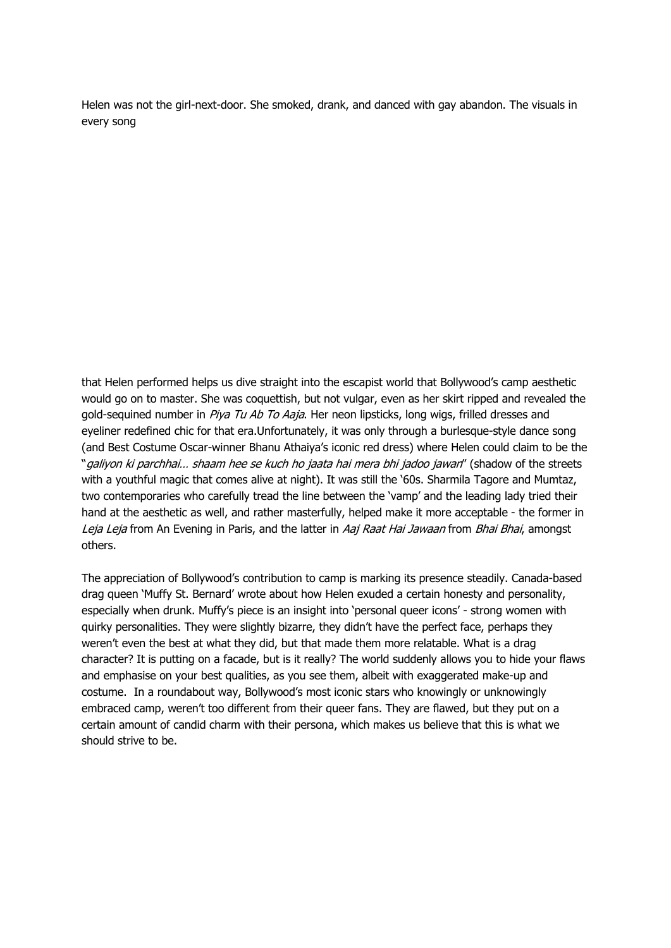Helen was not the girl-next-door. She smoked, drank, and danced with gay abandon. The visuals in every song

that Helen performed helps us dive straight into the escapist world that Bollywood's camp aesthetic would go on to master. She was coquettish, but not vulgar, even as her skirt ripped and revealed the gold-sequined number in Piya Tu Ab To Aaja. Her neon lipsticks, long wigs, frilled dresses and eyeliner redefined chic for that era.Unfortunately, it was only through a burlesque-style dance song (and Best Costume Oscar-winner Bhanu Athaiya's iconic red dress) where Helen could claim to be the "galiyon ki parchhai... shaam hee se kuch ho jaata hai mera bhi jadoo jawan" (shadow of the streets with a youthful magic that comes alive at night). It was still the '60s. Sharmila Tagore and Mumtaz, two contemporaries who carefully tread the line between the 'vamp' and the leading lady tried their hand at the aesthetic as well, and rather masterfully, helped make it more acceptable - the former in Leja Leja from An Evening in Paris, and the latter in Aaj Raat Hai Jawaan from Bhai Bhai, amongst others.

The appreciation of Bollywood's contribution to camp is marking its presence steadily. Canada-based drag queen 'Muffy St. Bernard' wrote about how Helen exuded a certain honesty and personality, especially when drunk. Muffy's piece is an insight into 'personal queer icons' - strong women with quirky personalities. They were slightly bizarre, they didn't have the perfect face, perhaps they weren't even the best at what they did, but that made them more relatable. What is a drag character? It is putting on a facade, but is it really? The world suddenly allows you to hide your flaws and emphasise on your best qualities, as you see them, albeit with exaggerated make-up and costume. In a roundabout way, Bollywood's most iconic stars who knowingly or unknowingly embraced camp, weren't too different from their queer fans. They are flawed, but they put on a certain amount of candid charm with their persona, which makes us believe that this is what we should strive to be.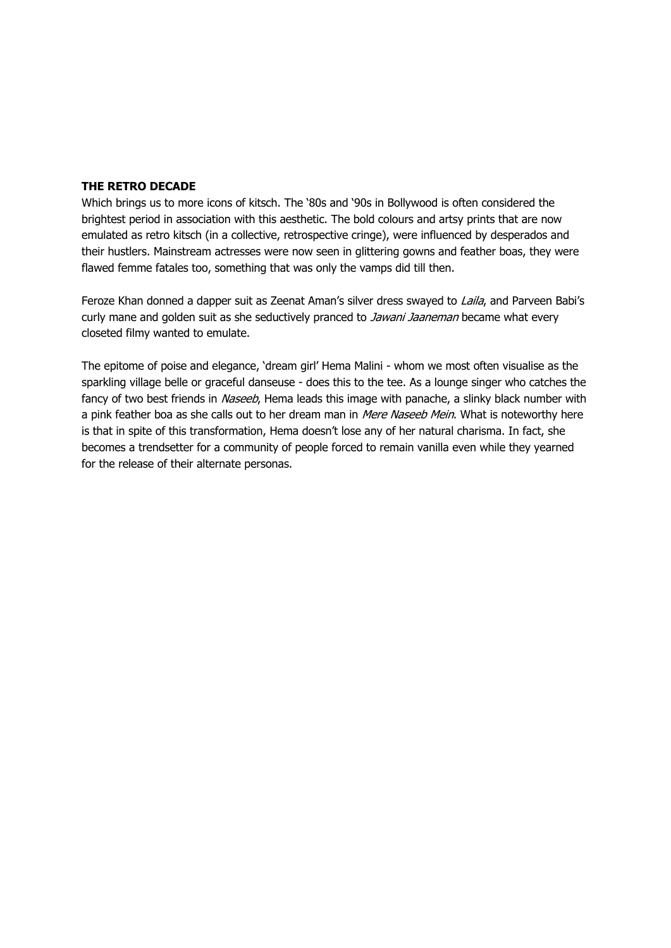## **THE RETRO DECADE**

Which brings us to more icons of kitsch. The '80s and '90s in Bollywood is often considered the brightest period in association with this aesthetic. The bold colours and artsy prints that are now emulated as retro kitsch (in a collective, retrospective cringe), were influenced by desperados and their hustlers. Mainstream actresses were now seen in glittering gowns and feather boas, they were flawed femme fatales too, something that was only the vamps did till then.

Feroze Khan donned a dapper suit as Zeenat Aman's silver dress swayed to Laila, and Parveen Babi's curly mane and golden suit as she seductively pranced to Jawani Jaaneman became what every closeted filmy wanted to emulate.

The epitome of poise and elegance, 'dream girl' Hema Malini - whom we most often visualise as the sparkling village belle or graceful danseuse - does this to the tee. As a lounge singer who catches the fancy of two best friends in Naseeb, Hema leads this image with panache, a slinky black number with a pink feather boa as she calls out to her dream man in Mere Naseeb Mein. What is noteworthy here is that in spite of this transformation, Hema doesn't lose any of her natural charisma. In fact, she becomes a trendsetter for a community of people forced to remain vanilla even while they yearned for the release of their alternate personas.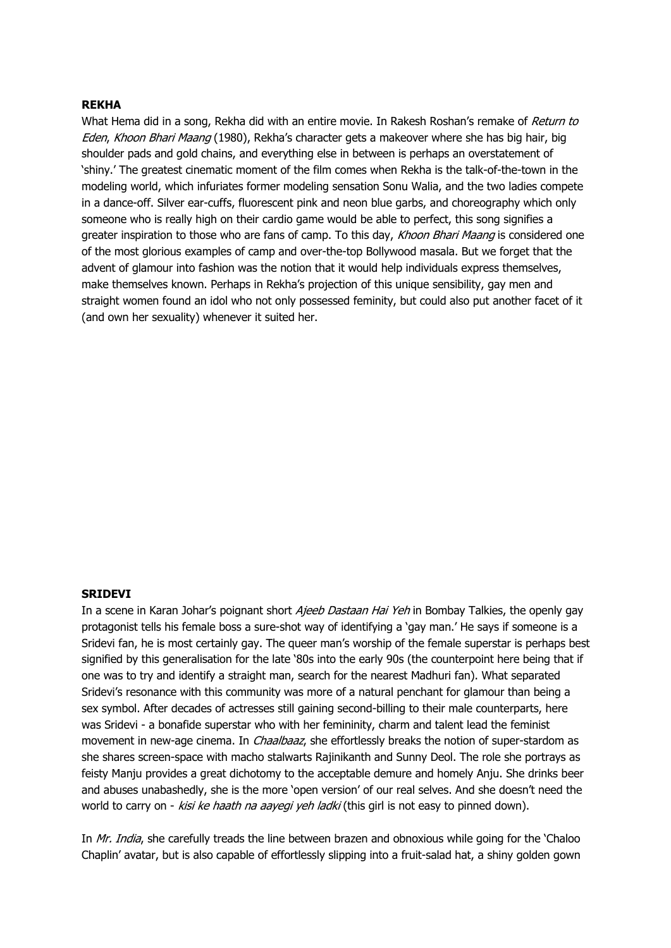### **REKHA**

What Hema did in a song, Rekha did with an entire movie. In Rakesh Roshan's remake of Return to Eden, Khoon Bhari Maang (1980), Rekha's character gets a makeover where she has big hair, big shoulder pads and gold chains, and everything else in between is perhaps an overstatement of 'shiny.' The greatest cinematic moment of the film comes when Rekha is the talk-of-the-town in the modeling world, which infuriates former modeling sensation Sonu Walia, and the two ladies compete in a dance-off. Silver ear-cuffs, fluorescent pink and neon blue garbs, and choreography which only someone who is really high on their cardio game would be able to perfect, this song signifies a greater inspiration to those who are fans of camp. To this day, Khoon Bhari Maang is considered one of the most glorious examples of camp and over-the-top Bollywood masala. But we forget that the advent of glamour into fashion was the notion that it would help individuals express themselves, make themselves known. Perhaps in Rekha's projection of this unique sensibility, gay men and straight women found an idol who not only possessed feminity, but could also put another facet of it (and own her sexuality) whenever it suited her.

### **SRIDEVI**

In a scene in Karan Johar's poignant short *Ajeeb Dastaan Hai Yeh* in Bombay Talkies, the openly gay protagonist tells his female boss a sure-shot way of identifying a 'gay man.' He says if someone is a Sridevi fan, he is most certainly gay. The queer man's worship of the female superstar is perhaps best signified by this generalisation for the late '80s into the early 90s (the counterpoint here being that if one was to try and identify a straight man, search for the nearest Madhuri fan). What separated Sridevi's resonance with this community was more of a natural penchant for glamour than being a sex symbol. After decades of actresses still gaining second-billing to their male counterparts, here was Sridevi - a bonafide superstar who with her femininity, charm and talent lead the feminist movement in new-age cinema. In *Chaalbaaz*, she effortlessly breaks the notion of super-stardom as she shares screen-space with macho stalwarts Rajinikanth and Sunny Deol. The role she portrays as feisty Manju provides a great dichotomy to the acceptable demure and homely Anju. She drinks beer and abuses unabashedly, she is the more 'open version' of our real selves. And she doesn't need the world to carry on - kisi ke haath na aayegi yeh ladki (this girl is not easy to pinned down).

In Mr. India, she carefully treads the line between brazen and obnoxious while going for the 'Chaloo' Chaplin' avatar, but is also capable of effortlessly slipping into a fruit-salad hat, a shiny golden gown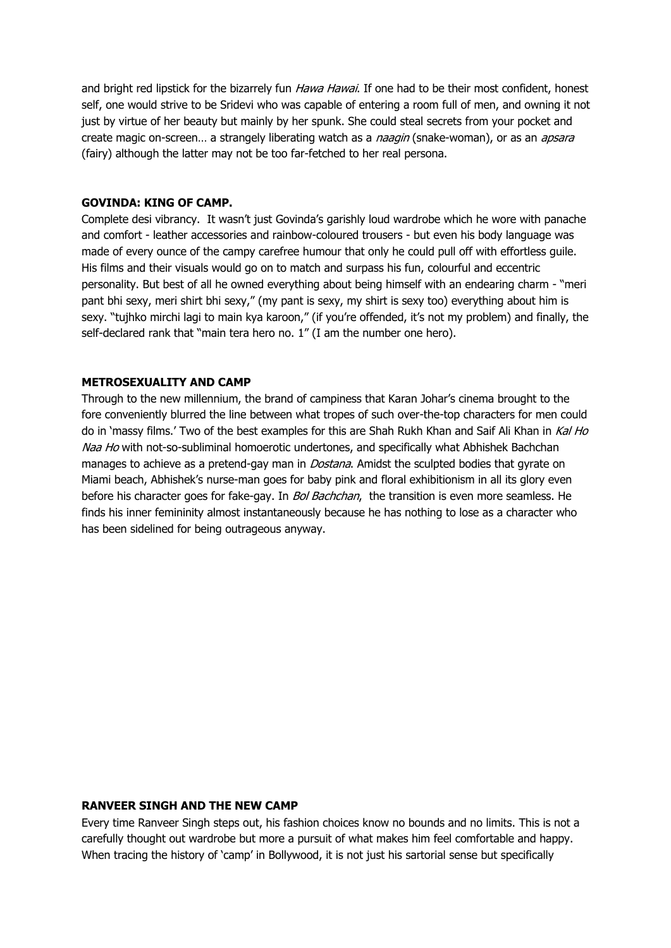and bright red lipstick for the bizarrely fun *Hawa Hawai*. If one had to be their most confident, honest self, one would strive to be Sridevi who was capable of entering a room full of men, and owning it not just by virtue of her beauty but mainly by her spunk. She could steal secrets from your pocket and create magic on-screen... a strangely liberating watch as a naagin (snake-woman), or as an apsara (fairy) although the latter may not be too far-fetched to her real persona.

### **GOVINDA: KING OF CAMP.**

Complete desi vibrancy. It wasn't just Govinda's garishly loud wardrobe which he wore with panache and comfort - leather accessories and rainbow-coloured trousers - but even his body language was made of every ounce of the campy carefree humour that only he could pull off with effortless guile. His films and their visuals would go on to match and surpass his fun, colourful and eccentric personality. But best of all he owned everything about being himself with an endearing charm - "meri pant bhi sexy, meri shirt bhi sexy," (my pant is sexy, my shirt is sexy too) everything about him is sexy. "tujhko mirchi lagi to main kya karoon," (if you're offended, it's not my problem) and finally, the self-declared rank that "main tera hero no. 1" (I am the number one hero).

### **METROSEXUALITY AND CAMP**

Through to the new millennium, the brand of campiness that Karan Johar's cinema brought to the fore conveniently blurred the line between what tropes of such over-the-top characters for men could do in 'massy films.' Two of the best examples for this are Shah Rukh Khan and Saif Ali Khan in Kal Ho Naa Ho with not-so-subliminal homoerotic undertones, and specifically what Abhishek Bachchan manages to achieve as a pretend-gay man in *Dostana*. Amidst the sculpted bodies that gyrate on Miami beach, Abhishek's nurse-man goes for baby pink and floral exhibitionism in all its glory even before his character goes for fake-gay. In *Bol Bachchan*, the transition is even more seamless. He finds his inner femininity almost instantaneously because he has nothing to lose as a character who has been sidelined for being outrageous anyway.

# **RANVEER SINGH AND THE NEW CAMP**

Every time Ranveer Singh steps out, his fashion choices know no bounds and no limits. This is not a carefully thought out wardrobe but more a pursuit of what makes him feel comfortable and happy. When tracing the history of 'camp' in Bollywood, it is not just his sartorial sense but specifically